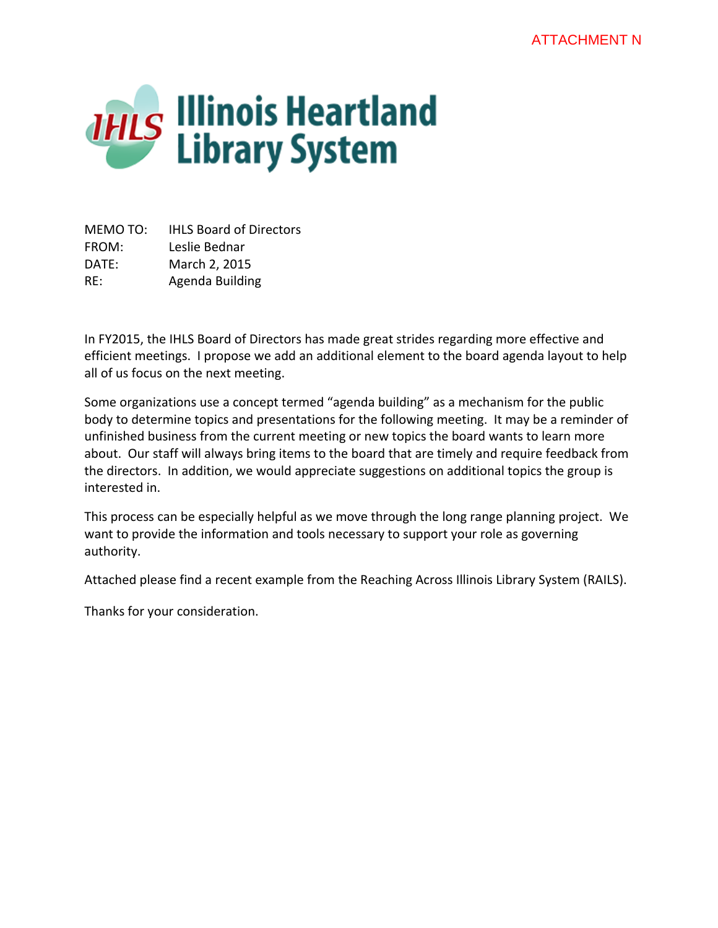

MEMO TO: IHLS Board of Directors FROM: Leslie Bednar DATE: March 2, 2015 RE: Agenda Building

In FY2015, the IHLS Board of Directors has made great strides regarding more effective and efficient meetings. I propose we add an additional element to the board agenda layout to help all of us focus on the next meeting.

Some organizations use a concept termed "agenda building" as a mechanism for the public body to determine topics and presentations for the following meeting. It may be a reminder of unfinished business from the current meeting or new topics the board wants to learn more about. Our staff will always bring items to the board that are timely and require feedback from the directors. In addition, we would appreciate suggestions on additional topics the group is interested in.

This process can be especially helpful as we move through the long range planning project. We want to provide the information and tools necessary to support your role as governing authority.

Attached please find a recent example from the Reaching Across Illinois Library System (RAILS).

Thanks for your consideration.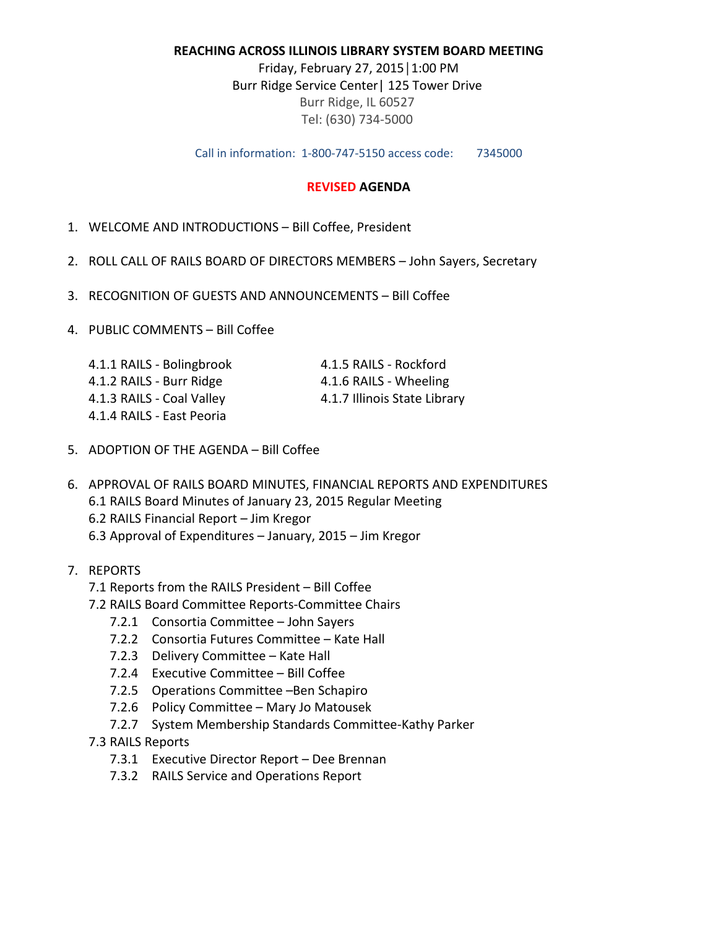## **REACHING ACROSS ILLINOIS LIBRARY SYSTEM BOARD MEETING**

Friday, February 27, 2015│1:00 PM Burr Ridge Service Center| 125 Tower Drive Burr Ridge, IL 60527 Tel: (630) 734-5000

Call in information: 1-800-747-5150 access code: 7345000

## **REVISED AGENDA**

- 1. WELCOME AND INTRODUCTIONS Bill Coffee, President
- 2. ROLL CALL OF RAILS BOARD OF DIRECTORS MEMBERS John Sayers, Secretary
- 3. RECOGNITION OF GUESTS AND ANNOUNCEMENTS Bill Coffee
- 4. PUBLIC COMMENTS Bill Coffee

| 4.1.1 RAILS - Bolingbrook | 4.1.5 RAILS - Rockford       |
|---------------------------|------------------------------|
| 4.1.2 RAILS - Burr Ridge  | 4.1.6 RAILS - Wheeling       |
| 4.1.3 RAILS - Coal Valley | 4.1.7 Illinois State Library |
| 4.1.4 RAILS - East Peoria |                              |

- 5. ADOPTION OF THE AGENDA Bill Coffee
- 6. APPROVAL OF RAILS BOARD MINUTES, FINANCIAL REPORTS AND EXPENDITURES 6.1 RAILS Board Minutes of January 23, 2015 Regular Meeting 6.2 RAILS Financial Report – Jim Kregor 6.3 Approval of Expenditures – January, 2015 – Jim Kregor
- 7. REPORTS
	- 7.1 Reports from the RAILS President Bill Coffee
	- 7.2 RAILS Board Committee Reports-Committee Chairs
		- 7.2.1 Consortia Committee John Sayers
		- 7.2.2 Consortia Futures Committee Kate Hall
		- 7.2.3 Delivery Committee Kate Hall
		- 7.2.4 Executive Committee Bill Coffee
		- 7.2.5 Operations Committee –Ben Schapiro
		- 7.2.6 Policy Committee Mary Jo Matousek
		- 7.2.7 System Membership Standards Committee-Kathy Parker
	- 7.3 RAILS Reports
		- 7.3.1 Executive Director Report Dee Brennan
		- 7.3.2 RAILS Service and Operations Report